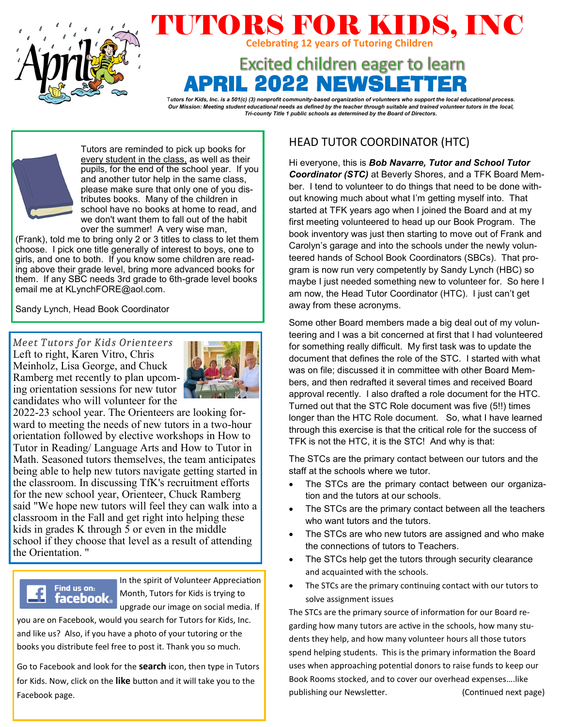

# TUTORS FOR KIDS, INC **Celebrating 12 years of Tutoring Children**

## **Excited children eager to learn** RIL 2022 NEWSLET

T*utors for Kids, Inc. is a 501(c) (3) nonprofit community-based organization of volunteers who support the local educational process. Our Mission: Meeting student educational needs as defined by the teacher through suitable and trained volunteer tutors in the local, Tri-county Title 1 public schools as determined by the Board of Directors.*



Tutors are reminded to pick up books for every student in the class, as well as their pupils, for the end of the school year. If you and another tutor help in the same class, please make sure that only one of you distributes books. Many of the children in school have no books at home to read, and we don't want them to fall out of the habit over the summer! A very wise man,

(Frank), told me to bring only 2 or 3 titles to class to let them choose. I pick one title generally of interest to boys, one to girls, and one to both. If you know some children are reading above their grade level, bring more advanced books for them. If any SBC needs 3rd grade to 6th-grade level books email me at KLynchFORE@aol.com.

Sandy Lynch, Head Book Coordinator

*Meet Tutors for Kids Orienteers*  Left to right, Karen Vitro, Chris Meinholz, Lisa George, and Chuck Ramberg met recently to plan upcoming orientation sessions for new tutor candidates who will volunteer for the



2022-23 school year. The Orienteers are looking forward to meeting the needs of new tutors in a two-hour orientation followed by elective workshops in How to Tutor in Reading/ Language Arts and How to Tutor in Math. Seasoned tutors themselves, the team anticipates being able to help new tutors navigate getting started in the classroom. In discussing TfK's recruitment efforts for the new school year, Orienteer, Chuck Ramberg said "We hope new tutors will feel they can walk into a classroom in the Fall and get right into helping these kids in grades K through 5 or even in the middle school if they choose that level as a result of attending the Orientation. "



In the spirit of Volunteer Appreciation Month, Tutors for Kids is trying to upgrade our image on social media. If

you are on Facebook, would you search for Tutors for Kids, Inc. and like us? Also, if you have a photo of your tutoring or the books you distribute feel free to post it. Thank you so much.

 Go to Facebook and look for the **search** icon, then type in Tutors for Kids. Now, click on the **like** button and it will take you to the Facebook page.

## HEAD TUTOR COORDINATOR (HTC)

Hi everyone, this is *Bob Navarre, Tutor and School Tutor Coordinator (STC)* at Beverly Shores, and a TFK Board Member. I tend to volunteer to do things that need to be done without knowing much about what I'm getting myself into. That started at TFK years ago when I joined the Board and at my first meeting volunteered to head up our Book Program. The book inventory was just then starting to move out of Frank and Carolyn's garage and into the schools under the newly volunteered hands of School Book Coordinators (SBCs). That program is now run very competently by Sandy Lynch (HBC) so maybe I just needed something new to volunteer for. So here I am now, the Head Tutor Coordinator (HTC). I just can't get away from these acronyms.

Some other Board members made a big deal out of my volunteering and I was a bit concerned at first that I had volunteered for something really difficult. My first task was to update the document that defines the role of the STC. I started with what was on file; discussed it in committee with other Board Members, and then redrafted it several times and received Board approval recently. I also drafted a role document for the HTC. Turned out that the STC Role document was five (5!!) times longer than the HTC Role document. So, what I have learned through this exercise is that the critical role for the success of TFK is not the HTC, it is the STC! And why is that:

The STCs are the primary contact between our tutors and the staff at the schools where we tutor.

- The STCs are the primary contact between our organization and the tutors at our schools.
- The STCs are the primary contact between all the teachers who want tutors and the tutors.
- The STCs are who new tutors are assigned and who make the connections of tutors to Teachers.
- The STCs help get the tutors through security clearance and acquainted with the schools.
- The STCs are the primary continuing contact with our tutors to solve assignment issues

The STCs are the primary source of information for our Board regarding how many tutors are active in the schools, how many students they help, and how many volunteer hours all those tutors spend helping students. This is the primary information the Board uses when approaching potential donors to raise funds to keep our Book Rooms stocked, and to cover our overhead expenses….like publishing our Newsletter. The continued next page)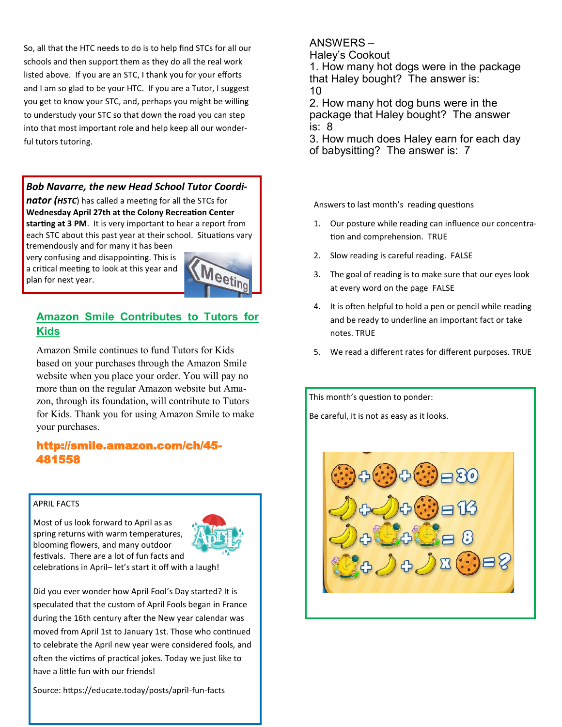So, all that the HTC needs to do is to help find STCs for all our schools and then support them as they do all the real work listed above. If you are an STC, I thank you for your efforts and I am so glad to be your HTC. If you are a Tutor, I suggest you get to know your STC, and, perhaps you might be willing to understudy your STC so that down the road you can step into that most important role and help keep all our wonderful tutors tutoring.

#### *Bob Navarre, the new Head School Tutor Coordi-*

*nator (HSTC*) has called a meeting for all the STCs for **Wednesday April 27th at the Colony Recreation Center starting at 3 PM**. It is very important to hear a report from each STC about this past year at their school. Situations vary tremendously and for many it has been

very confusing and disappointing. This is a critical meeting to look at this year and plan for next year.



### **Amazon Smile Contributes to Tutors for Kids**

Amazon Smile continues to fund Tutors for Kids based on your purchases through the Amazon Smile website when you place your order. You will pay no more than on the regular Amazon website but Amazon, through its foundation, will contribute to Tutors for Kids. Thank you for using Amazon Smile to make your purchases.

### [http://smile.amazon.com/ch/45](http://smile.amazon.com/ch/45-4815598)- [481558](http://smile.amazon.com/ch/45-4815598)

#### APRIL FACTS

Most of us look forward to April as as spring returns with warm temperatures, blooming flowers, and many outdoor festivals. There are a lot of fun facts and



celebrations in April– let's start it off with a laugh!

Did you ever wonder how April Fool's Day started? It is speculated that the custom of April Fools began in France during the 16th century after the New year calendar was moved from April 1st to January 1st. Those who continued to celebrate the April new year were considered fools, and often the victims of practical jokes. Today we just like to have a little fun with our friends!

Source: https://educate.today/posts/april-fun-facts

#### ANSWERS –

Haley's Cookout

1. How many hot dogs were in the package that Haley bought? The answer is: 10

2. How many hot dog buns were in the package that Haley bought? The answer is: 8

3. How much does Haley earn for each day of babysitting? The answer is: 7

Answers to last month's reading questions

- 1. Our posture while reading can influence our concentration and comprehension. TRUE
- 2. Slow reading is careful reading. FALSE
- 3. The goal of reading is to make sure that our eyes look at every word on the page FALSE
- 4. It is often helpful to hold a pen or pencil while reading and be ready to underline an important fact or take notes. TRUE
- 5. We read a different rates for different purposes. TRUE

This month's question to ponder: Be careful, it is not as easy as it looks.